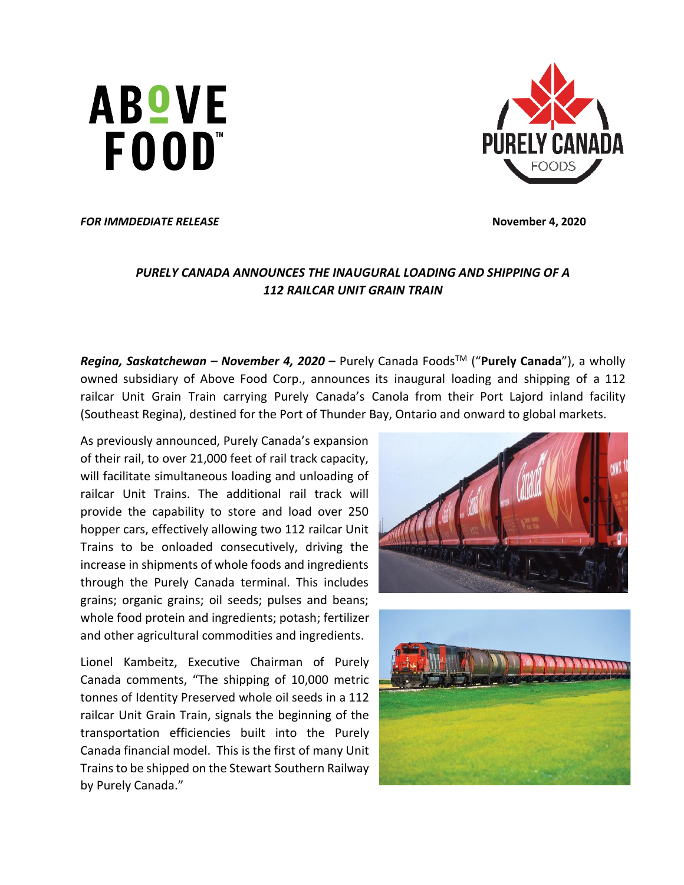**ABOVE** FOOD"



*FOR IMMDEDIATE RELEASE* **November 4, 2020** 

# *PURELY CANADA ANNOUNCES THE INAUGURAL LOADING AND SHIPPING OF A 112 RAILCAR UNIT GRAIN TRAIN*

*Regina, Saskatchewan – November 4, 2020* **–** Purely Canada FoodsTM ("**Purely Canada**"), a wholly owned subsidiary of Above Food Corp., announces its inaugural loading and shipping of a 112 railcar Unit Grain Train carrying Purely Canada's Canola from their Port Lajord inland facility (Southeast Regina), destined for the Port of Thunder Bay, Ontario and onward to global markets.

As previously announced, Purely Canada's expansion of their rail, to over 21,000 feet of rail track capacity, will facilitate simultaneous loading and unloading of railcar Unit Trains. The additional rail track will provide the capability to store and load over 250 hopper cars, effectively allowing two 112 railcar Unit Trains to be onloaded consecutively, driving the increase in shipments of whole foods and ingredients through the Purely Canada terminal. This includes grains; organic grains; oil seeds; pulses and beans; whole food protein and ingredients; potash; fertilizer and other agricultural commodities and ingredients.

Lionel Kambeitz, Executive Chairman of Purely Canada comments, "The shipping of 10,000 metric tonnes of Identity Preserved whole oil seeds in a 112 railcar Unit Grain Train, signals the beginning of the transportation efficiencies built into the Purely Canada financial model. This is the first of many Unit Trains to be shipped on the Stewart Southern Railway by Purely Canada."



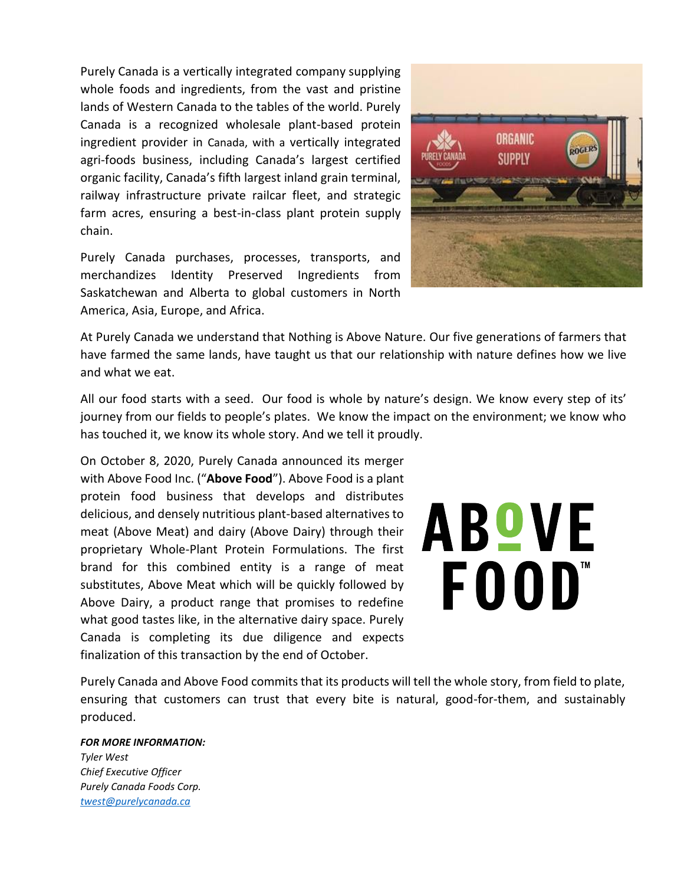Purely Canada is a vertically integrated company supplying whole foods and ingredients, from the vast and pristine lands of Western Canada to the tables of the world. Purely Canada is a recognized wholesale plant-based protein ingredient provider in Canada, with a vertically integrated agri-foods business, including Canada's largest certified organic facility, Canada's fifth largest inland grain terminal, railway infrastructure private railcar fleet, and strategic farm acres, ensuring a best-in-class plant protein supply chain.

Purely Canada purchases, processes, transports, and merchandizes Identity Preserved Ingredients from Saskatchewan and Alberta to global customers in North America, Asia, Europe, and Africa.



At Purely Canada we understand that Nothing is Above Nature. Our five generations of farmers that have farmed the same lands, have taught us that our relationship with nature defines how we live and what we eat.

All our food starts with a seed. Our food is whole by nature's design. We know every step of its' journey from our fields to people's plates. We know the impact on the environment; we know who has touched it, we know its whole story. And we tell it proudly.

On October 8, 2020, Purely Canada announced its merger with Above Food Inc. ("**Above Food**"). Above Food is a plant protein food business that develops and distributes delicious, and densely nutritious plant-based alternatives to meat (Above Meat) and dairy (Above Dairy) through their proprietary Whole-Plant Protein Formulations. The first brand for this combined entity is a range of meat substitutes, Above Meat which will be quickly followed by Above Dairy, a product range that promises to redefine what good tastes like, in the alternative dairy space. Purely Canada is completing its due diligence and expects finalization of this transaction by the end of October.

# **ABOVE** FOOD"

Purely Canada and Above Food commits that its products will tell the whole story, from field to plate, ensuring that customers can trust that every bite is natural, good-for-them, and sustainably produced.

#### *FOR MORE INFORMATION:*

*Tyler West Chief Executive Officer Purely Canada Foods Corp. [twest@purelycanada.ca](mailto:twest@purelycanada.ca)*